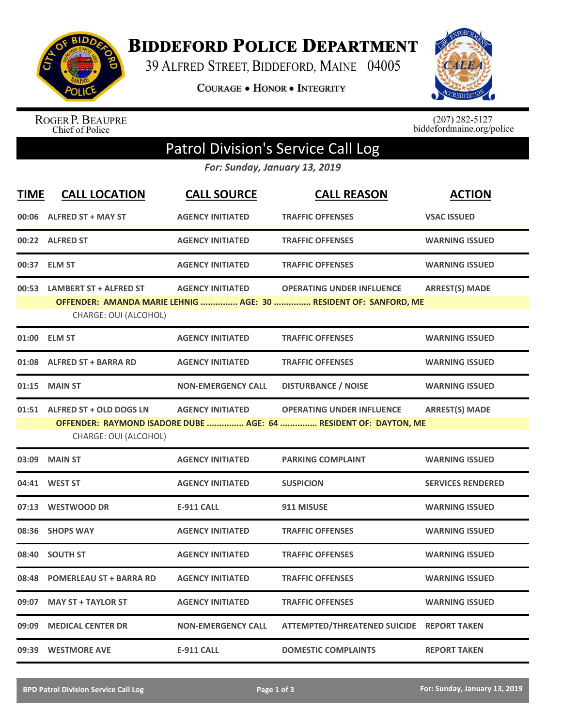

**BIDDEFORD POLICE DEPARTMENT** 

39 ALFRED STREET, BIDDEFORD, MAINE 04005

**COURAGE . HONOR . INTEGRITY** 



ROGER P. BEAUPRE<br>Chief of Police

 $(207)$  282-5127<br>biddefordmaine.org/police

## Patrol Division's Service Call Log

*For: Sunday, January 13, 2019*

| <b>TIME</b> | <b>CALL LOCATION</b>           | <b>CALL SOURCE</b>        | <b>CALL REASON</b>                                               | <b>ACTION</b>            |
|-------------|--------------------------------|---------------------------|------------------------------------------------------------------|--------------------------|
|             | 00:06 ALFRED ST + MAY ST       | <b>AGENCY INITIATED</b>   | <b>TRAFFIC OFFENSES</b>                                          | <b>VSAC ISSUED</b>       |
|             | 00:22 ALFRED ST                | <b>AGENCY INITIATED</b>   | <b>TRAFFIC OFFENSES</b>                                          | <b>WARNING ISSUED</b>    |
|             | 00:37 ELM ST                   | <b>AGENCY INITIATED</b>   | <b>TRAFFIC OFFENSES</b>                                          | <b>WARNING ISSUED</b>    |
|             | 00:53 LAMBERT ST + ALFRED ST   | <b>AGENCY INITIATED</b>   | <b>OPERATING UNDER INFLUENCE</b>                                 | <b>ARREST(S) MADE</b>    |
|             | CHARGE: OUI (ALCOHOL)          |                           | OFFENDER: AMANDA MARIE LEHNIG  AGE: 30  RESIDENT OF: SANFORD, ME |                          |
|             | 01:00 ELM ST                   | <b>AGENCY INITIATED</b>   | <b>TRAFFIC OFFENSES</b>                                          | <b>WARNING ISSUED</b>    |
|             | 01:08 ALFRED ST + BARRA RD     | <b>AGENCY INITIATED</b>   | <b>TRAFFIC OFFENSES</b>                                          | <b>WARNING ISSUED</b>    |
| 01:15       | <b>MAIN ST</b>                 | <b>NON-EMERGENCY CALL</b> | <b>DISTURBANCE / NOISE</b>                                       | <b>WARNING ISSUED</b>    |
|             | 01:51 ALFRED ST + OLD DOGS LN  | <b>AGENCY INITIATED</b>   | <b>OPERATING UNDER INFLUENCE</b>                                 | <b>ARREST(S) MADE</b>    |
|             | CHARGE: OUI (ALCOHOL)          |                           | OFFENDER: RAYMOND ISADORE DUBE  AGE: 64  RESIDENT OF: DAYTON, ME |                          |
|             | <b>MAIN ST</b>                 | <b>AGENCY INITIATED</b>   | <b>PARKING COMPLAINT</b>                                         |                          |
| 03:09       |                                |                           |                                                                  | <b>WARNING ISSUED</b>    |
|             | 04:41 WEST ST                  | <b>AGENCY INITIATED</b>   | <b>SUSPICION</b>                                                 | <b>SERVICES RENDERED</b> |
|             | 07:13 WESTWOOD DR              | <b>E-911 CALL</b>         | 911 MISUSE                                                       | <b>WARNING ISSUED</b>    |
| 08:36       | <b>SHOPS WAY</b>               | <b>AGENCY INITIATED</b>   | <b>TRAFFIC OFFENSES</b>                                          | <b>WARNING ISSUED</b>    |
| 08:40       | <b>SOUTH ST</b>                | <b>AGENCY INITIATED</b>   | <b>TRAFFIC OFFENSES</b>                                          | <b>WARNING ISSUED</b>    |
| 08:48       | <b>POMERLEAU ST + BARRA RD</b> | <b>AGENCY INITIATED</b>   | <b>TRAFFIC OFFENSES</b>                                          | <b>WARNING ISSUED</b>    |
| 09:07       | <b>MAY ST + TAYLOR ST</b>      | <b>AGENCY INITIATED</b>   | <b>TRAFFIC OFFENSES</b>                                          | <b>WARNING ISSUED</b>    |
| 09:09       | <b>MEDICAL CENTER DR</b>       | <b>NON-EMERGENCY CALL</b> | ATTEMPTED/THREATENED SUICIDE REPORT TAKEN                        |                          |
|             | 09:39 WESTMORE AVE             | <b>E-911 CALL</b>         | <b>DOMESTIC COMPLAINTS</b>                                       | <b>REPORT TAKEN</b>      |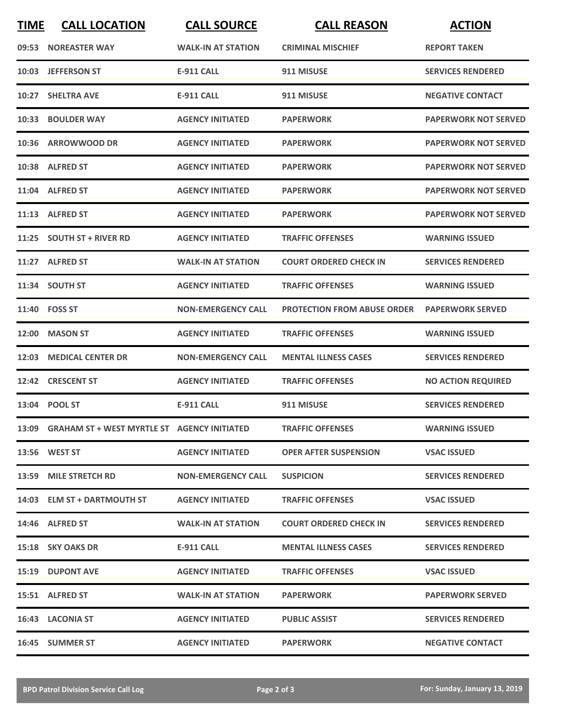| <b>TIME</b> | <b>CALL LOCATION</b>                              | <b>CALL SOURCE</b>        | <b>CALL REASON</b>                 | <b>ACTION</b>               |
|-------------|---------------------------------------------------|---------------------------|------------------------------------|-----------------------------|
| 09:53       | <b>NOREASTER WAY</b>                              | <b>WALK-IN AT STATION</b> | <b>CRIMINAL MISCHIEF</b>           | <b>REPORT TAKEN</b>         |
| 10:03       | <b>JEFFERSON ST</b>                               | <b>E-911 CALL</b>         | 911 MISUSE                         | <b>SERVICES RENDERED</b>    |
|             | 10:27 SHELTRA AVE                                 | <b>E-911 CALL</b>         | 911 MISUSE                         | <b>NEGATIVE CONTACT</b>     |
|             | 10:33 BOULDER WAY                                 | <b>AGENCY INITIATED</b>   | <b>PAPERWORK</b>                   | <b>PAPERWORK NOT SERVED</b> |
|             | 10:36 ARROWWOOD DR                                | <b>AGENCY INITIATED</b>   | <b>PAPERWORK</b>                   | <b>PAPERWORK NOT SERVED</b> |
|             | 10:38 ALFRED ST                                   | <b>AGENCY INITIATED</b>   | <b>PAPERWORK</b>                   | <b>PAPERWORK NOT SERVED</b> |
|             | 11:04 ALFRED ST                                   | <b>AGENCY INITIATED</b>   | <b>PAPERWORK</b>                   | <b>PAPERWORK NOT SERVED</b> |
|             | 11:13 ALFRED ST                                   | <b>AGENCY INITIATED</b>   | <b>PAPERWORK</b>                   | <b>PAPERWORK NOT SERVED</b> |
|             | 11:25 SOUTH ST + RIVER RD                         | <b>AGENCY INITIATED</b>   | <b>TRAFFIC OFFENSES</b>            | <b>WARNING ISSUED</b>       |
|             | 11:27 ALFRED ST                                   | <b>WALK-IN AT STATION</b> | <b>COURT ORDERED CHECK IN</b>      | <b>SERVICES RENDERED</b>    |
|             | 11:34 SOUTH ST                                    | <b>AGENCY INITIATED</b>   | <b>TRAFFIC OFFENSES</b>            | <b>WARNING ISSUED</b>       |
|             | 11:40 FOSS ST                                     | <b>NON-EMERGENCY CALL</b> | <b>PROTECTION FROM ABUSE ORDER</b> | <b>PAPERWORK SERVED</b>     |
| 12:00       | <b>MASON ST</b>                                   | <b>AGENCY INITIATED</b>   | <b>TRAFFIC OFFENSES</b>            | <b>WARNING ISSUED</b>       |
| 12:03       | <b>MEDICAL CENTER DR</b>                          | <b>NON-EMERGENCY CALL</b> | <b>MENTAL ILLNESS CASES</b>        | <b>SERVICES RENDERED</b>    |
|             | 12:42 CRESCENT ST                                 | <b>AGENCY INITIATED</b>   | <b>TRAFFIC OFFENSES</b>            | <b>NO ACTION REQUIRED</b>   |
|             | 13:04 POOL ST                                     | <b>E-911 CALL</b>         | 911 MISUSE                         | <b>SERVICES RENDERED</b>    |
|             | 13:09 GRAHAM ST + WEST MYRTLE ST AGENCY INITIATED |                           | <b>TRAFFIC OFFENSES</b>            | <b>WARNING ISSUED</b>       |
|             | 13:56 WEST ST                                     | <b>AGENCY INITIATED</b>   | <b>OPER AFTER SUSPENSION</b>       | <b>VSAC ISSUED</b>          |
|             | 13:59 MILE STRETCH RD                             | <b>NON-EMERGENCY CALL</b> | <b>SUSPICION</b>                   | <b>SERVICES RENDERED</b>    |
|             | 14:03 ELM ST + DARTMOUTH ST                       | <b>AGENCY INITIATED</b>   | <b>TRAFFIC OFFENSES</b>            | <b>VSAC ISSUED</b>          |
|             | 14:46 ALFRED ST                                   | <b>WALK-IN AT STATION</b> | <b>COURT ORDERED CHECK IN</b>      | <b>SERVICES RENDERED</b>    |
|             | 15:18 SKY OAKS DR                                 | E-911 CALL                | <b>MENTAL ILLNESS CASES</b>        | <b>SERVICES RENDERED</b>    |
|             | <b>15:19 DUPONT AVE</b>                           | <b>AGENCY INITIATED</b>   | <b>TRAFFIC OFFENSES</b>            | <b>VSAC ISSUED</b>          |
|             | 15:51 ALFRED ST                                   | <b>WALK-IN AT STATION</b> | <b>PAPERWORK</b>                   | <b>PAPERWORK SERVED</b>     |
|             | 16:43 LACONIA ST                                  | <b>AGENCY INITIATED</b>   | <b>PUBLIC ASSIST</b>               | <b>SERVICES RENDERED</b>    |
|             | 16:45 SUMMER ST                                   | <b>AGENCY INITIATED</b>   | <b>PAPERWORK</b>                   | <b>NEGATIVE CONTACT</b>     |